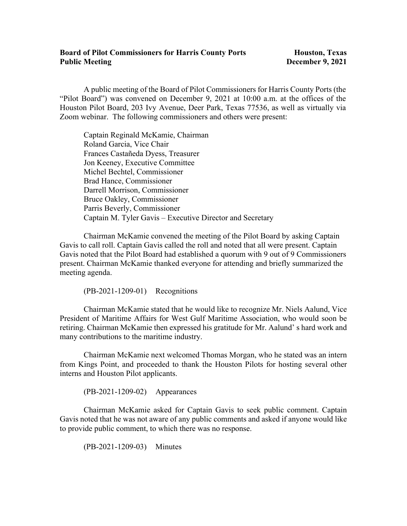## **Board of Pilot Commissioners for Harris County Ports Houston, Texas Public Meeting 2021**

A public meeting of the Board of Pilot Commissioners for Harris County Ports (the "Pilot Board") was convened on December 9, 2021 at 10:00 a.m. at the offices of the Houston Pilot Board, 203 Ivy Avenue, Deer Park, Texas 77536, as well as virtually via Zoom webinar. The following commissioners and others were present:

Captain Reginald McKamie, Chairman Roland Garcia, Vice Chair Frances Castañeda Dyess, Treasurer Jon Keeney, Executive Committee Michel Bechtel, Commissioner Brad Hance, Commissioner Darrell Morrison, Commissioner Bruce Oakley, Commissioner Parris Beverly, Commissioner Captain M. Tyler Gavis – Executive Director and Secretary

 Chairman McKamie convened the meeting of the Pilot Board by asking Captain Gavis to call roll. Captain Gavis called the roll and noted that all were present. Captain Gavis noted that the Pilot Board had established a quorum with 9 out of 9 Commissioners present. Chairman McKamie thanked everyone for attending and briefly summarized the meeting agenda.

(PB-2021-1209-01) Recognitions

Chairman McKamie stated that he would like to recognize Mr. Niels Aalund, Vice President of Maritime Affairs for West Gulf Maritime Association, who would soon be retiring. Chairman McKamie then expressed his gratitude for Mr. Aalund' s hard work and many contributions to the maritime industry.

Chairman McKamie next welcomed Thomas Morgan, who he stated was an intern from Kings Point, and proceeded to thank the Houston Pilots for hosting several other interns and Houston Pilot applicants.

(PB-2021-1209-02) Appearances

Chairman McKamie asked for Captain Gavis to seek public comment. Captain Gavis noted that he was not aware of any public comments and asked if anyone would like to provide public comment, to which there was no response.

(PB-2021-1209-03) Minutes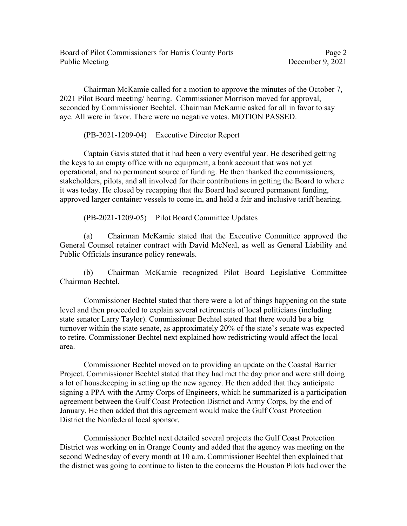Chairman McKamie called for a motion to approve the minutes of the October 7, 2021 Pilot Board meeting/ hearing. Commissioner Morrison moved for approval, seconded by Commissioner Bechtel. Chairman McKamie asked for all in favor to say aye. All were in favor. There were no negative votes. MOTION PASSED.

(PB-2021-1209-04) Executive Director Report

 Captain Gavis stated that it had been a very eventful year. He described getting the keys to an empty office with no equipment, a bank account that was not yet operational, and no permanent source of funding. He then thanked the commissioners, stakeholders, pilots, and all involved for their contributions in getting the Board to where it was today. He closed by recapping that the Board had secured permanent funding, approved larger container vessels to come in, and held a fair and inclusive tariff hearing.

(PB-2021-1209-05) Pilot Board Committee Updates

(a) Chairman McKamie stated that the Executive Committee approved the General Counsel retainer contract with David McNeal, as well as General Liability and Public Officials insurance policy renewals.

(b) Chairman McKamie recognized Pilot Board Legislative Committee Chairman Bechtel.

 Commissioner Bechtel stated that there were a lot of things happening on the state level and then proceeded to explain several retirements of local politicians (including state senator Larry Taylor). Commissioner Bechtel stated that there would be a big turnover within the state senate, as approximately 20% of the state's senate was expected to retire. Commissioner Bechtel next explained how redistricting would affect the local area.

 Commissioner Bechtel moved on to providing an update on the Coastal Barrier Project. Commissioner Bechtel stated that they had met the day prior and were still doing a lot of housekeeping in setting up the new agency. He then added that they anticipate signing a PPA with the Army Corps of Engineers, which he summarized is a participation agreement between the Gulf Coast Protection District and Army Corps, by the end of January. He then added that this agreement would make the Gulf Coast Protection District the Nonfederal local sponsor.

 Commissioner Bechtel next detailed several projects the Gulf Coast Protection District was working on in Orange County and added that the agency was meeting on the second Wednesday of every month at 10 a.m. Commissioner Bechtel then explained that the district was going to continue to listen to the concerns the Houston Pilots had over the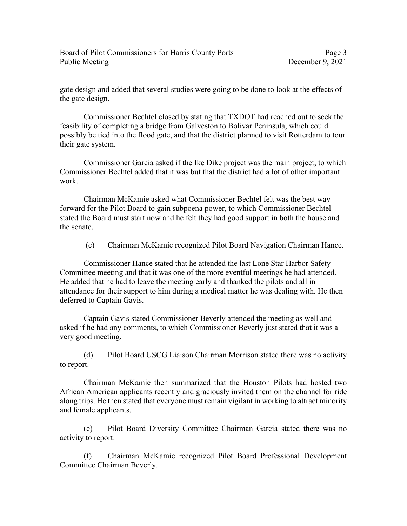gate design and added that several studies were going to be done to look at the effects of the gate design.

 Commissioner Bechtel closed by stating that TXDOT had reached out to seek the feasibility of completing a bridge from Galveston to Bolivar Peninsula, which could possibly be tied into the flood gate, and that the district planned to visit Rotterdam to tour their gate system.

 Commissioner Garcia asked if the Ike Dike project was the main project, to which Commissioner Bechtel added that it was but that the district had a lot of other important work.

 Chairman McKamie asked what Commissioner Bechtel felt was the best way forward for the Pilot Board to gain subpoena power, to which Commissioner Bechtel stated the Board must start now and he felt they had good support in both the house and the senate.

(c) Chairman McKamie recognized Pilot Board Navigation Chairman Hance.

 Commissioner Hance stated that he attended the last Lone Star Harbor Safety Committee meeting and that it was one of the more eventful meetings he had attended. He added that he had to leave the meeting early and thanked the pilots and all in attendance for their support to him during a medical matter he was dealing with. He then deferred to Captain Gavis.

 Captain Gavis stated Commissioner Beverly attended the meeting as well and asked if he had any comments, to which Commissioner Beverly just stated that it was a very good meeting.

(d) Pilot Board USCG Liaison Chairman Morrison stated there was no activity to report.

Chairman McKamie then summarized that the Houston Pilots had hosted two African American applicants recently and graciously invited them on the channel for ride along trips. He then stated that everyone must remain vigilant in working to attract minority and female applicants.

(e) Pilot Board Diversity Committee Chairman Garcia stated there was no activity to report.

(f) Chairman McKamie recognized Pilot Board Professional Development Committee Chairman Beverly.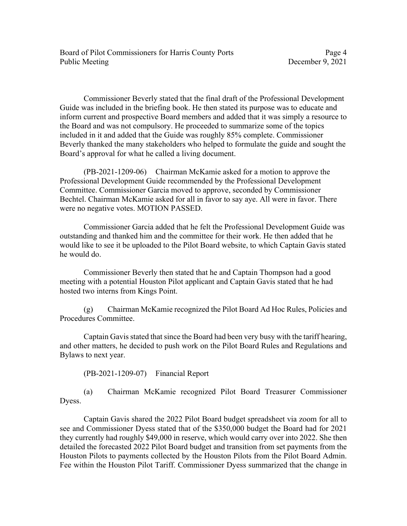Board of Pilot Commissioners for Harris County Ports Page 4 Public Meeting December 9, 2021

 Commissioner Beverly stated that the final draft of the Professional Development Guide was included in the briefing book. He then stated its purpose was to educate and inform current and prospective Board members and added that it was simply a resource to the Board and was not compulsory. He proceeded to summarize some of the topics included in it and added that the Guide was roughly 85% complete. Commissioner Beverly thanked the many stakeholders who helped to formulate the guide and sought the Board's approval for what he called a living document.

 (PB-2021-1209-06) Chairman McKamie asked for a motion to approve the Professional Development Guide recommended by the Professional Development Committee. Commissioner Garcia moved to approve, seconded by Commissioner Bechtel. Chairman McKamie asked for all in favor to say aye. All were in favor. There were no negative votes. MOTION PASSED.

 Commissioner Garcia added that he felt the Professional Development Guide was outstanding and thanked him and the committee for their work. He then added that he would like to see it be uploaded to the Pilot Board website, to which Captain Gavis stated he would do.

 Commissioner Beverly then stated that he and Captain Thompson had a good meeting with a potential Houston Pilot applicant and Captain Gavis stated that he had hosted two interns from Kings Point.

(g) Chairman McKamie recognized the Pilot Board Ad Hoc Rules, Policies and Procedures Committee.

Captain Gavis stated that since the Board had been very busy with the tariff hearing, and other matters, he decided to push work on the Pilot Board Rules and Regulations and Bylaws to next year.

(PB-2021-1209-07) Financial Report

(a) Chairman McKamie recognized Pilot Board Treasurer Commissioner Dyess.

Captain Gavis shared the 2022 Pilot Board budget spreadsheet via zoom for all to see and Commissioner Dyess stated that of the \$350,000 budget the Board had for 2021 they currently had roughly \$49,000 in reserve, which would carry over into 2022. She then detailed the forecasted 2022 Pilot Board budget and transition from set payments from the Houston Pilots to payments collected by the Houston Pilots from the Pilot Board Admin. Fee within the Houston Pilot Tariff. Commissioner Dyess summarized that the change in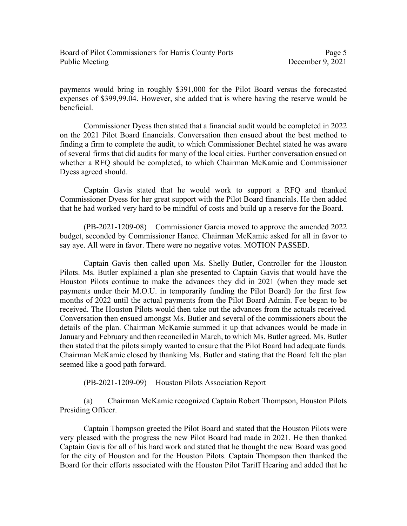payments would bring in roughly \$391,000 for the Pilot Board versus the forecasted expenses of \$399,99.04. However, she added that is where having the reserve would be beneficial.

Commissioner Dyess then stated that a financial audit would be completed in 2022 on the 2021 Pilot Board financials. Conversation then ensued about the best method to finding a firm to complete the audit, to which Commissioner Bechtel stated he was aware of several firms that did audits for many of the local cities. Further conversation ensued on whether a RFQ should be completed, to which Chairman McKamie and Commissioner Dyess agreed should.

Captain Gavis stated that he would work to support a RFQ and thanked Commissioner Dyess for her great support with the Pilot Board financials. He then added that he had worked very hard to be mindful of costs and build up a reserve for the Board.

(PB-2021-1209-08) Commissioner Garcia moved to approve the amended 2022 budget, seconded by Commissioner Hance. Chairman McKamie asked for all in favor to say aye. All were in favor. There were no negative votes. MOTION PASSED.

Captain Gavis then called upon Ms. Shelly Butler, Controller for the Houston Pilots. Ms. Butler explained a plan she presented to Captain Gavis that would have the Houston Pilots continue to make the advances they did in 2021 (when they made set payments under their M.O.U. in temporarily funding the Pilot Board) for the first few months of 2022 until the actual payments from the Pilot Board Admin. Fee began to be received. The Houston Pilots would then take out the advances from the actuals received. Conversation then ensued amongst Ms. Butler and several of the commissioners about the details of the plan. Chairman McKamie summed it up that advances would be made in January and February and then reconciled in March, to which Ms. Butler agreed. Ms. Butler then stated that the pilots simply wanted to ensure that the Pilot Board had adequate funds. Chairman McKamie closed by thanking Ms. Butler and stating that the Board felt the plan seemed like a good path forward.

(PB-2021-1209-09) Houston Pilots Association Report

(a) Chairman McKamie recognized Captain Robert Thompson, Houston Pilots Presiding Officer.

Captain Thompson greeted the Pilot Board and stated that the Houston Pilots were very pleased with the progress the new Pilot Board had made in 2021. He then thanked Captain Gavis for all of his hard work and stated that he thought the new Board was good for the city of Houston and for the Houston Pilots. Captain Thompson then thanked the Board for their efforts associated with the Houston Pilot Tariff Hearing and added that he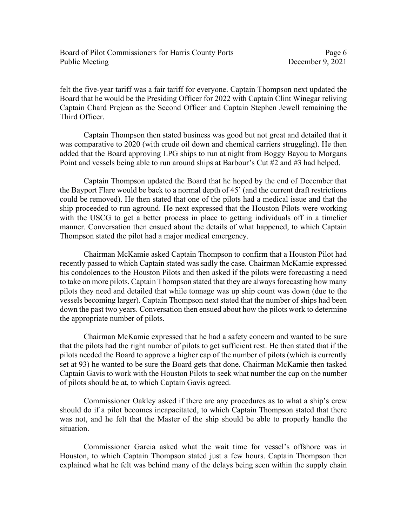felt the five-year tariff was a fair tariff for everyone. Captain Thompson next updated the Board that he would be the Presiding Officer for 2022 with Captain Clint Winegar reliving Captain Chard Prejean as the Second Officer and Captain Stephen Jewell remaining the Third Officer.

Captain Thompson then stated business was good but not great and detailed that it was comparative to 2020 (with crude oil down and chemical carriers struggling). He then added that the Board approving LPG ships to run at night from Boggy Bayou to Morgans Point and vessels being able to run around ships at Barbour's Cut #2 and #3 had helped.

Captain Thompson updated the Board that he hoped by the end of December that the Bayport Flare would be back to a normal depth of 45' (and the current draft restrictions could be removed). He then stated that one of the pilots had a medical issue and that the ship proceeded to run aground. He next expressed that the Houston Pilots were working with the USCG to get a better process in place to getting individuals off in a timelier manner. Conversation then ensued about the details of what happened, to which Captain Thompson stated the pilot had a major medical emergency.

Chairman McKamie asked Captain Thompson to confirm that a Houston Pilot had recently passed to which Captain stated was sadly the case. Chairman McKamie expressed his condolences to the Houston Pilots and then asked if the pilots were forecasting a need to take on more pilots. Captain Thompson stated that they are always forecasting how many pilots they need and detailed that while tonnage was up ship count was down (due to the vessels becoming larger). Captain Thompson next stated that the number of ships had been down the past two years. Conversation then ensued about how the pilots work to determine the appropriate number of pilots.

Chairman McKamie expressed that he had a safety concern and wanted to be sure that the pilots had the right number of pilots to get sufficient rest. He then stated that if the pilots needed the Board to approve a higher cap of the number of pilots (which is currently set at 93) he wanted to be sure the Board gets that done. Chairman McKamie then tasked Captain Gavis to work with the Houston Pilots to seek what number the cap on the number of pilots should be at, to which Captain Gavis agreed.

Commissioner Oakley asked if there are any procedures as to what a ship's crew should do if a pilot becomes incapacitated, to which Captain Thompson stated that there was not, and he felt that the Master of the ship should be able to properly handle the situation.

Commissioner Garcia asked what the wait time for vessel's offshore was in Houston, to which Captain Thompson stated just a few hours. Captain Thompson then explained what he felt was behind many of the delays being seen within the supply chain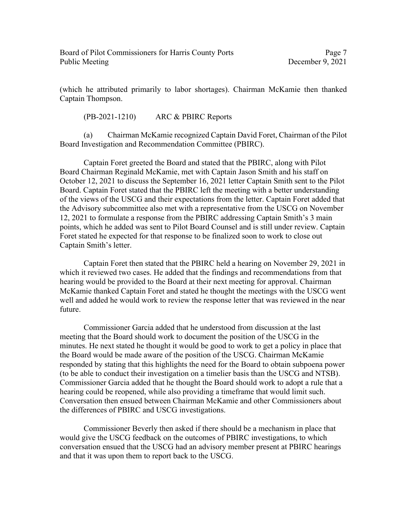(which he attributed primarily to labor shortages). Chairman McKamie then thanked Captain Thompson.

(PB-2021-1210) ARC & PBIRC Reports

(a) Chairman McKamie recognized Captain David Foret, Chairman of the Pilot Board Investigation and Recommendation Committee (PBIRC).

 Captain Foret greeted the Board and stated that the PBIRC, along with Pilot Board Chairman Reginald McKamie, met with Captain Jason Smith and his staff on October 12, 2021 to discuss the September 16, 2021 letter Captain Smith sent to the Pilot Board. Captain Foret stated that the PBIRC left the meeting with a better understanding of the views of the USCG and their expectations from the letter. Captain Foret added that the Advisory subcommittee also met with a representative from the USCG on November 12, 2021 to formulate a response from the PBIRC addressing Captain Smith's 3 main points, which he added was sent to Pilot Board Counsel and is still under review. Captain Foret stated he expected for that response to be finalized soon to work to close out Captain Smith's letter.

 Captain Foret then stated that the PBIRC held a hearing on November 29, 2021 in which it reviewed two cases. He added that the findings and recommendations from that hearing would be provided to the Board at their next meeting for approval. Chairman McKamie thanked Captain Foret and stated he thought the meetings with the USCG went well and added he would work to review the response letter that was reviewed in the near future.

 Commissioner Garcia added that he understood from discussion at the last meeting that the Board should work to document the position of the USCG in the minutes. He next stated he thought it would be good to work to get a policy in place that the Board would be made aware of the position of the USCG. Chairman McKamie responded by stating that this highlights the need for the Board to obtain subpoena power (to be able to conduct their investigation on a timelier basis than the USCG and NTSB). Commissioner Garcia added that he thought the Board should work to adopt a rule that a hearing could be reopened, while also providing a timeframe that would limit such. Conversation then ensued between Chairman McKamie and other Commissioners about the differences of PBIRC and USCG investigations.

 Commissioner Beverly then asked if there should be a mechanism in place that would give the USCG feedback on the outcomes of PBIRC investigations, to which conversation ensued that the USCG had an advisory member present at PBIRC hearings and that it was upon them to report back to the USCG.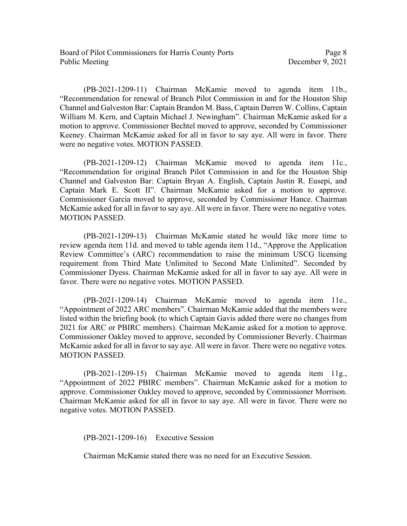(PB-2021-1209-11) Chairman McKamie moved to agenda item 11b., "Recommendation for renewal of Branch Pilot Commission in and for the Houston Ship Channel and Galveston Bar: Captain Brandon M. Bass, Captain Darren W. Collins, Captain William M. Kern, and Captain Michael J. Newingham". Chairman McKamie asked for a motion to approve. Commissioner Bechtel moved to approve, seconded by Commissioner Keeney. Chairman McKamie asked for all in favor to say aye. All were in favor. There were no negative votes. MOTION PASSED.

(PB-2021-1209-12) Chairman McKamie moved to agenda item 11c., "Recommendation for original Branch Pilot Commission in and for the Houston Ship Channel and Galveston Bar: Captain Bryan A. English, Captain Justin R. Eusepi, and Captain Mark E. Scott II". Chairman McKamie asked for a motion to approve. Commissioner Garcia moved to approve, seconded by Commissioner Hance. Chairman McKamie asked for all in favor to say aye. All were in favor. There were no negative votes. MOTION PASSED.

(PB-2021-1209-13) Chairman McKamie stated he would like more time to review agenda item 11d. and moved to table agenda item 11d., "Approve the Application Review Committee's (ARC) recommendation to raise the minimum USCG licensing requirement from Third Mate Unlimited to Second Mate Unlimited". Seconded by Commissioner Dyess. Chairman McKamie asked for all in favor to say aye. All were in favor. There were no negative votes. MOTION PASSED.

(PB-2021-1209-14) Chairman McKamie moved to agenda item 11e., "Appointment of 2022 ARC members". Chairman McKamie added that the members were listed within the briefing book (to which Captain Gavis added there were no changes from 2021 for ARC or PBIRC members). Chairman McKamie asked for a motion to approve. Commissioner Oakley moved to approve, seconded by Commissioner Beverly. Chairman McKamie asked for all in favor to say aye. All were in favor. There were no negative votes. MOTION PASSED.

(PB-2021-1209-15) Chairman McKamie moved to agenda item 11g., "Appointment of 2022 PBIRC members". Chairman McKamie asked for a motion to approve. Commissioner Oakley moved to approve, seconded by Commissioner Morrison. Chairman McKamie asked for all in favor to say aye. All were in favor. There were no negative votes. MOTION PASSED.

(PB-2021-1209-16) Executive Session

Chairman McKamie stated there was no need for an Executive Session.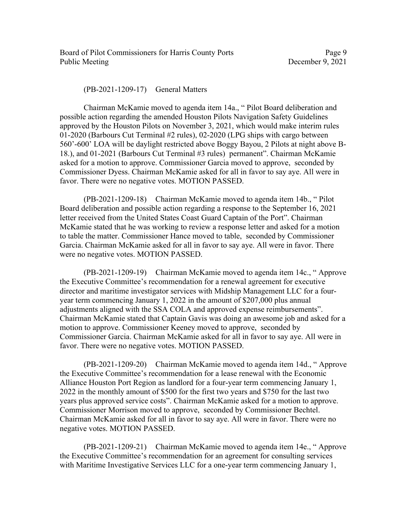Board of Pilot Commissioners for Harris County Ports Page 9 Public Meeting December 9, 2021

(PB-2021-1209-17) General Matters

Chairman McKamie moved to agenda item 14a., " Pilot Board deliberation and possible action regarding the amended Houston Pilots Navigation Safety Guidelines approved by the Houston Pilots on November 3, 2021, which would make interim rules 01-2020 (Barbours Cut Terminal #2 rules), 02-2020 (LPG ships with cargo between 560'-600' LOA will be daylight restricted above Boggy Bayou, 2 Pilots at night above B-18.), and 01-2021 (Barbours Cut Terminal #3 rules) permanent". Chairman McKamie asked for a motion to approve. Commissioner Garcia moved to approve, seconded by Commissioner Dyess. Chairman McKamie asked for all in favor to say aye. All were in favor. There were no negative votes. MOTION PASSED.

 (PB-2021-1209-18) Chairman McKamie moved to agenda item 14b., " Pilot Board deliberation and possible action regarding a response to the September 16, 2021 letter received from the United States Coast Guard Captain of the Port". Chairman McKamie stated that he was working to review a response letter and asked for a motion to table the matter. Commissioner Hance moved to table, seconded by Commissioner Garcia. Chairman McKamie asked for all in favor to say aye. All were in favor. There were no negative votes. MOTION PASSED.

(PB-2021-1209-19) Chairman McKamie moved to agenda item 14c., " Approve the Executive Committee's recommendation for a renewal agreement for executive director and maritime investigator services with Midship Management LLC for a fouryear term commencing January 1, 2022 in the amount of \$207,000 plus annual adjustments aligned with the SSA COLA and approved expense reimbursements". Chairman McKamie stated that Captain Gavis was doing an awesome job and asked for a motion to approve. Commissioner Keeney moved to approve, seconded by Commissioner Garcia. Chairman McKamie asked for all in favor to say aye. All were in favor. There were no negative votes. MOTION PASSED.

 (PB-2021-1209-20) Chairman McKamie moved to agenda item 14d., " Approve the Executive Committee's recommendation for a lease renewal with the Economic Alliance Houston Port Region as landlord for a four-year term commencing January 1, 2022 in the monthly amount of \$500 for the first two years and \$750 for the last two years plus approved service costs". Chairman McKamie asked for a motion to approve. Commissioner Morrison moved to approve, seconded by Commissioner Bechtel. Chairman McKamie asked for all in favor to say aye. All were in favor. There were no negative votes. MOTION PASSED.

(PB-2021-1209-21) Chairman McKamie moved to agenda item 14e., " Approve the Executive Committee's recommendation for an agreement for consulting services with Maritime Investigative Services LLC for a one-year term commencing January 1,